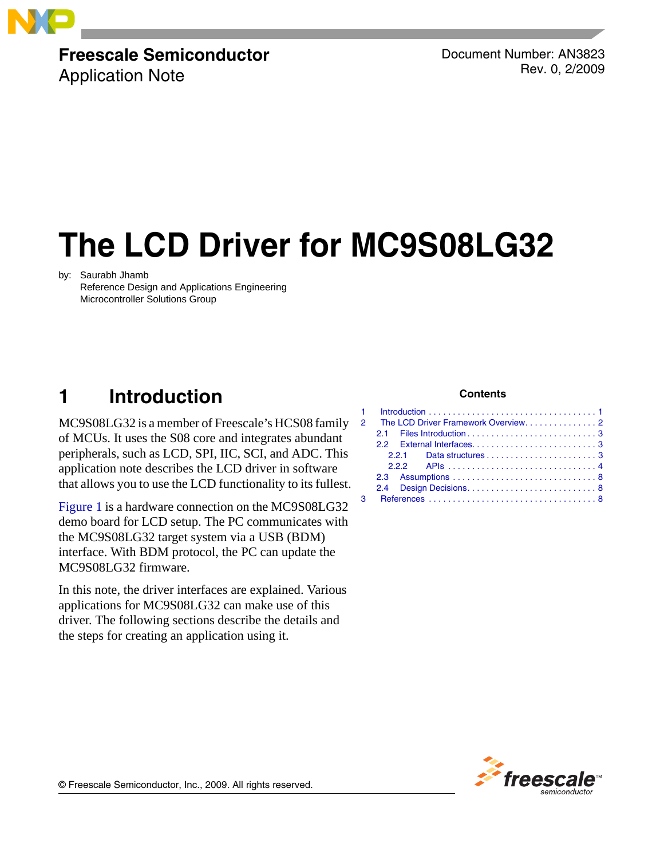

## **Freescale Semiconductor**

Document Number: AN3823 Rev. 0, 2/2009

## Application Note

# **The LCD Driver for MC9S08LG32**

by: Saurabh Jhamb Reference Design and Applications Engineering Microcontroller Solutions Group

## <span id="page-0-0"></span>**1 Introduction**

MC9S08LG32 is a member of Freescale's HCS08 family of MCUs. It uses the S08 core and integrates abundant peripherals, such as LCD, SPI, IIC, SCI, and ADC. This application note describes the LCD driver in software that allows you to use the LCD functionality to its fullest.

[Figure 1](#page-1-1) is a hardware connection on the MC9S08LG32 demo board for LCD setup. The PC communicates with the MC9S08LG32 target system via a USB (BDM) interface. With BDM protocol, the PC can update the MC9S08LG32 firmware.

In this note, the driver interfaces are explained. Various applications for MC9S08LG32 can make use of this driver. The following sections describe the details and the steps for creating an application using it.

#### **Contents**



© Freescale Semiconductor, Inc., 2009. All rights reserved.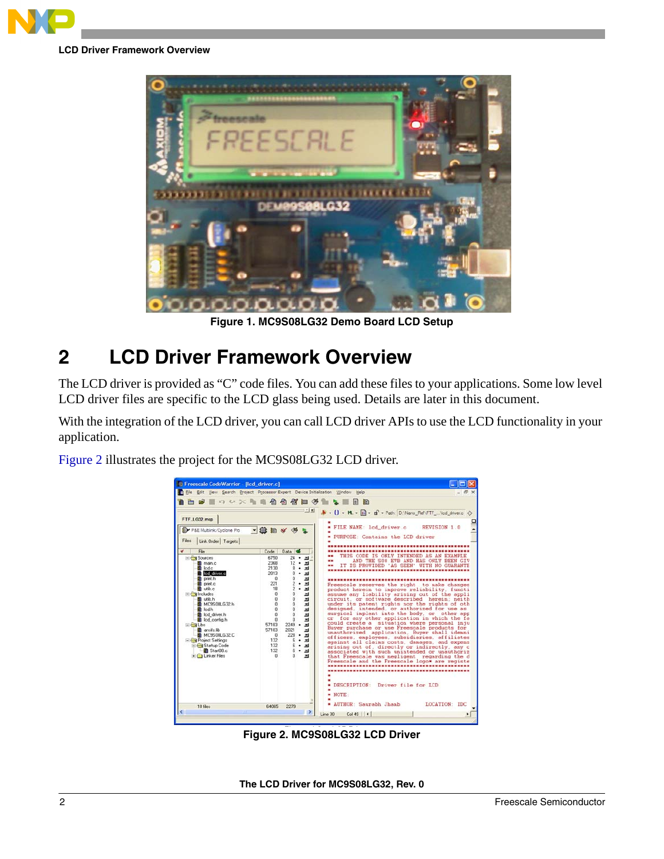

#### **LCD Driver Framework Overview**

| <b>************************</b><br>------------------- | $\mathbf{m}$ |
|--------------------------------------------------------|--------------|
|                                                        |              |
| FREESCRLE                                              |              |
|                                                        |              |
| DEMOSSOBLG32                                           |              |
|                                                        |              |
|                                                        |              |
| ۰<br>-<br>۰                                            |              |
|                                                        |              |

**Figure 1. MC9S08LG32 Demo Board LCD Setup**

## <span id="page-1-1"></span><span id="page-1-0"></span>**2 LCD Driver Framework Overview**

The LCD driver is provided as "C" code files. You can add these files to your applications. Some low level LCD driver files are specific to the LCD glass being used. Details are later in this document.

With the integration of the LCD driver, you can call LCD driver APIs to use the LCD functionality in your application.

[Figure 2](#page-1-2) illustrates the project for the MC9S08LG32 LCD driver.



**Figure 2. MC9S08LG32 LCD Driver** 

<span id="page-1-2"></span>**The LCD Driver for MC9S08LG32, Rev. 0**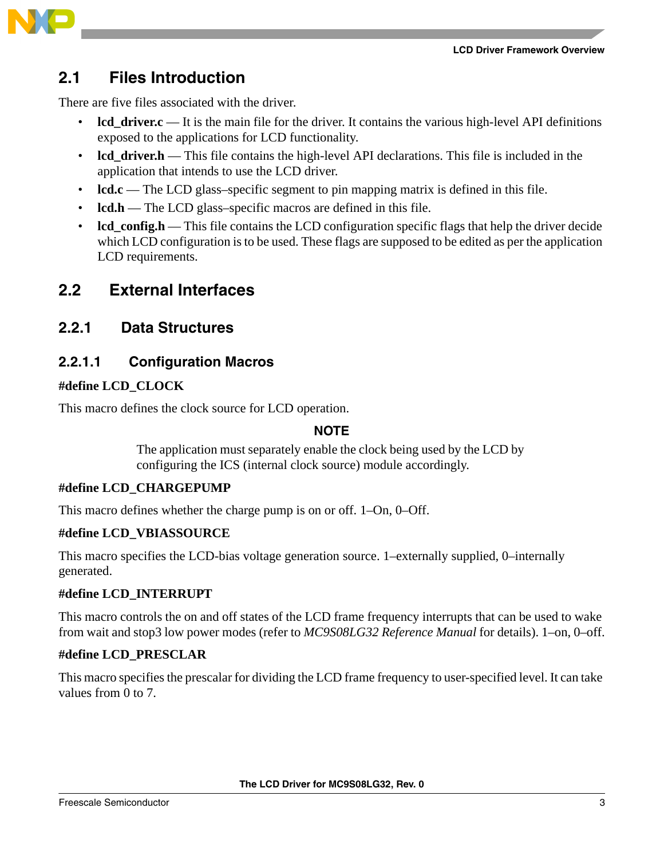

## <span id="page-2-0"></span>**2.1 Files Introduction**

There are five files associated with the driver.

- **lcd driver.c** It is the main file for the driver. It contains the various high-level API definitions exposed to the applications for LCD functionality.
- **lcd driver.h** This file contains the high-level API declarations. This file is included in the application that intends to use the LCD driver.
- **lcd.c** The LCD glass–specific segment to pin mapping matrix is defined in this file.
- **lcd.h** The LCD glass–specific macros are defined in this file.
- **lcd\_config.h** This file contains the LCD configuration specific flags that help the driver decide which LCD configuration is to be used. These flags are supposed to be edited as per the application LCD requirements.

## <span id="page-2-1"></span>**2.2 External Interfaces**

## <span id="page-2-2"></span>**2.2.1 Data Structures**

## **2.2.1.1 Configuration Macros**

#### **#define LCD\_CLOCK**

This macro defines the clock source for LCD operation.

#### **NOTE**

The application must separately enable the clock being used by the LCD by configuring the ICS (internal clock source) module accordingly.

#### **#define LCD\_CHARGEPUMP**

This macro defines whether the charge pump is on or off. 1–On, 0–Off.

#### **#define LCD\_VBIASSOURCE**

This macro specifies the LCD-bias voltage generation source. 1–externally supplied, 0–internally generated.

#### **#define LCD\_INTERRUPT**

This macro controls the on and off states of the LCD frame frequency interrupts that can be used to wake from wait and stop3 low power modes (refer to *MC9S08LG32 Reference Manual* for details). 1–on, 0–off.

#### **#define LCD\_PRESCLAR**

This macro specifies the prescalar for dividing the LCD frame frequency to user-specified level. It can take values from 0 to 7.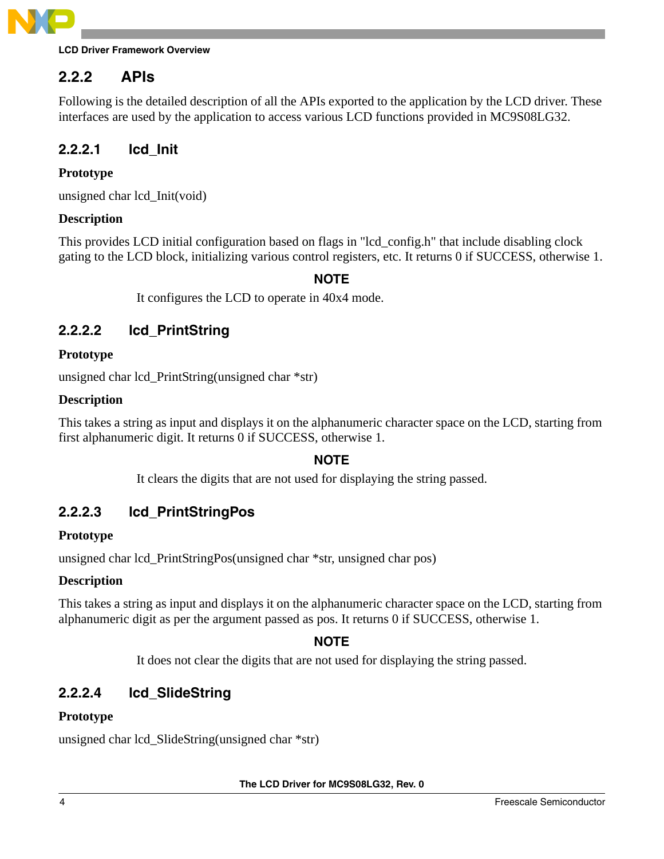

#### **LCD Driver Framework Overview**

## <span id="page-3-0"></span>**2.2.2 APIs**

Following is the detailed description of all the APIs exported to the application by the LCD driver. These interfaces are used by the application to access various LCD functions provided in MC9S08LG32.

## **2.2.2.1 lcd\_Init**

## **Prototype**

unsigned char lcd\_Init(void)

## **Description**

This provides LCD initial configuration based on flags in "lcd\_config.h" that include disabling clock gating to the LCD block, initializing various control registers, etc. It returns 0 if SUCCESS, otherwise 1.

## **NOTE**

It configures the LCD to operate in 40x4 mode.

## **2.2.2.2 lcd\_PrintString**

## **Prototype**

unsigned char lcd\_PrintString(unsigned char \*str)

#### **Description**

This takes a string as input and displays it on the alphanumeric character space on the LCD, starting from first alphanumeric digit. It returns 0 if SUCCESS, otherwise 1.

## **NOTE**

It clears the digits that are not used for displaying the string passed.

## **2.2.2.3 lcd\_PrintStringPos**

## **Prototype**

unsigned char lcd\_PrintStringPos(unsigned char \*str, unsigned char pos)

#### **Description**

This takes a string as input and displays it on the alphanumeric character space on the LCD, starting from alphanumeric digit as per the argument passed as pos. It returns 0 if SUCCESS, otherwise 1.

## **NOTE**

It does not clear the digits that are not used for displaying the string passed.

## **2.2.2.4 lcd\_SlideString**

## **Prototype**

unsigned char lcd\_SlideString(unsigned char \*str)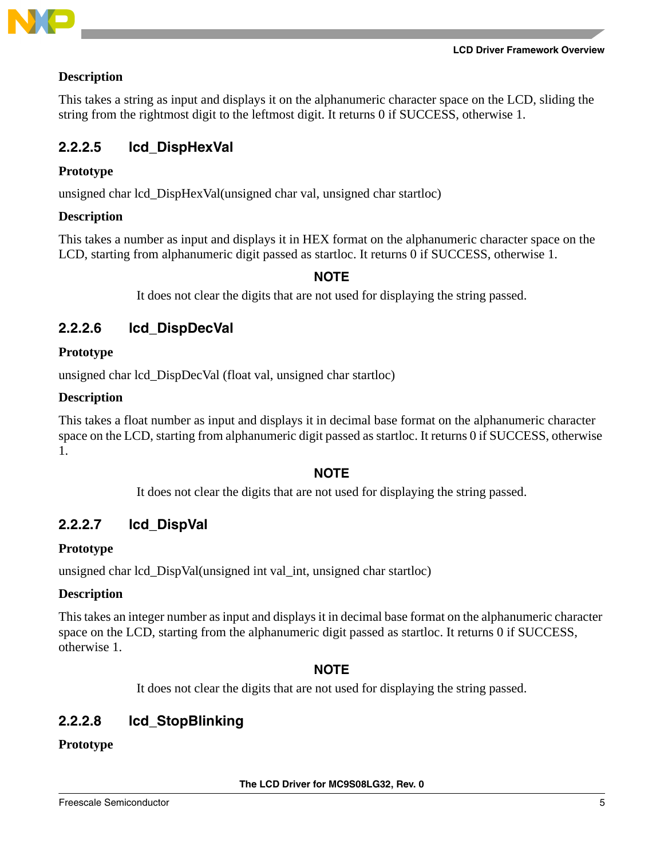

## **Description**

This takes a string as input and displays it on the alphanumeric character space on the LCD, sliding the string from the rightmost digit to the leftmost digit. It returns 0 if SUCCESS, otherwise 1.

## **2.2.2.5 lcd\_DispHexVal**

## **Prototype**

unsigned char lcd\_DispHexVal(unsigned char val, unsigned char startloc)

#### **Description**

This takes a number as input and displays it in HEX format on the alphanumeric character space on the LCD, starting from alphanumeric digit passed as startloc. It returns 0 if SUCCESS, otherwise 1.

#### **NOTE**

It does not clear the digits that are not used for displaying the string passed.

## **2.2.2.6 lcd\_DispDecVal**

#### **Prototype**

unsigned char lcd\_DispDecVal (float val, unsigned char startloc)

#### **Description**

This takes a float number as input and displays it in decimal base format on the alphanumeric character space on the LCD, starting from alphanumeric digit passed as startloc. It returns 0 if SUCCESS, otherwise 1.

#### **NOTE**

It does not clear the digits that are not used for displaying the string passed.

## **2.2.2.7 lcd\_DispVal**

#### **Prototype**

unsigned char lcd\_DispVal(unsigned int val\_int, unsigned char startloc)

#### **Description**

This takes an integer number as input and displays it in decimal base format on the alphanumeric character space on the LCD, starting from the alphanumeric digit passed as startloc. It returns 0 if SUCCESS, otherwise 1.

## **NOTE**

It does not clear the digits that are not used for displaying the string passed.

## **2.2.2.8 lcd\_StopBlinking**

#### **Prototype**

**The LCD Driver for MC9S08LG32, Rev. 0**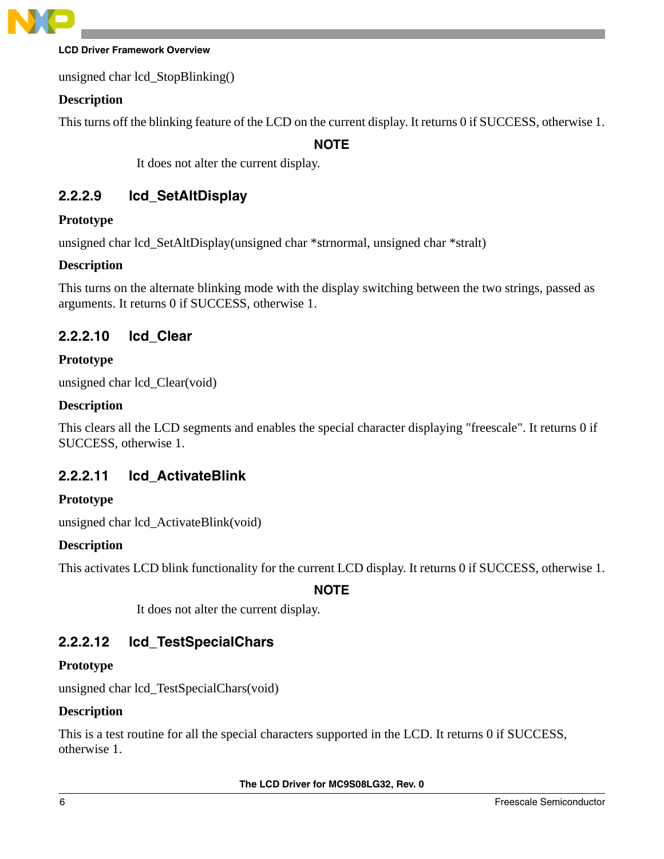

#### **LCD Driver Framework Overview**

unsigned char lcd\_StopBlinking()

#### **Description**

This turns off the blinking feature of the LCD on the current display. It returns 0 if SUCCESS, otherwise 1.

#### **NOTE**

It does not alter the current display.

## **2.2.2.9 lcd\_SetAltDisplay**

## **Prototype**

unsigned char lcd\_SetAltDisplay(unsigned char \*strnormal, unsigned char \*stralt)

#### **Description**

This turns on the alternate blinking mode with the display switching between the two strings, passed as arguments. It returns 0 if SUCCESS, otherwise 1.

## **2.2.2.10 lcd\_Clear**

#### **Prototype**

unsigned char lcd\_Clear(void)

## **Description**

This clears all the LCD segments and enables the special character displaying "freescale". It returns 0 if SUCCESS, otherwise 1.

## **2.2.2.11 lcd\_ActivateBlink**

#### **Prototype**

unsigned char lcd\_ActivateBlink(void)

#### **Description**

This activates LCD blink functionality for the current LCD display. It returns 0 if SUCCESS, otherwise 1.

## **NOTE**

It does not alter the current display.

## **2.2.2.12 lcd\_TestSpecialChars**

## **Prototype**

unsigned char lcd\_TestSpecialChars(void)

#### **Description**

This is a test routine for all the special characters supported in the LCD. It returns 0 if SUCCESS, otherwise 1.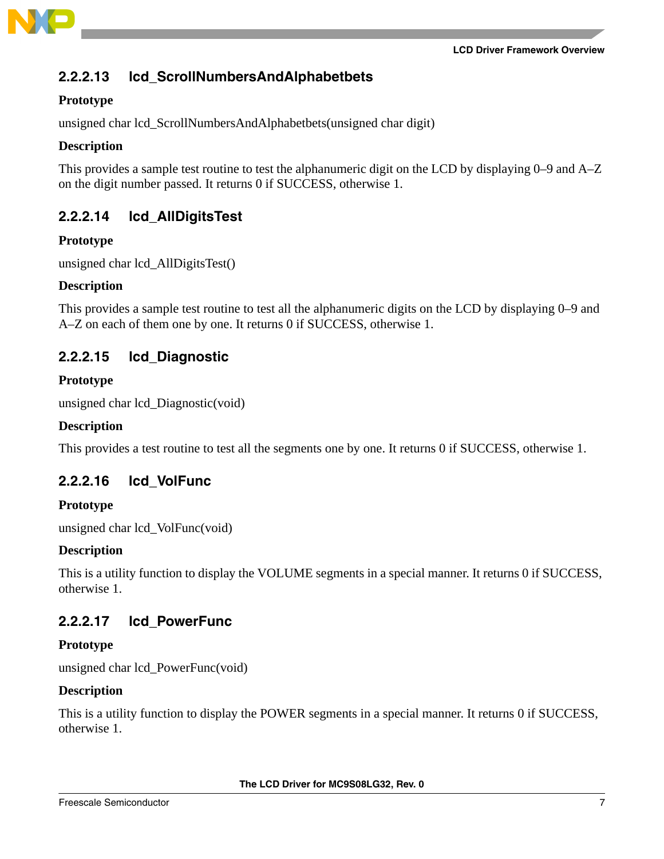

## **2.2.2.13 lcd\_ScrollNumbersAndAlphabetbets**

## **Prototype**

unsigned char lcd\_ScrollNumbersAndAlphabetbets(unsigned char digit)

## **Description**

This provides a sample test routine to test the alphanumeric digit on the LCD by displaying 0–9 and A–Z on the digit number passed. It returns 0 if SUCCESS, otherwise 1.

## **2.2.2.14 lcd\_AllDigitsTest**

## **Prototype**

unsigned char lcd\_AllDigitsTest()

## **Description**

This provides a sample test routine to test all the alphanumeric digits on the LCD by displaying 0–9 and A–Z on each of them one by one. It returns 0 if SUCCESS, otherwise 1.

## **2.2.2.15 lcd\_Diagnostic**

## **Prototype**

unsigned char lcd\_Diagnostic(void)

## **Description**

This provides a test routine to test all the segments one by one. It returns 0 if SUCCESS, otherwise 1.

## **2.2.2.16 lcd\_VolFunc**

## **Prototype**

unsigned char lcd\_VolFunc(void)

## **Description**

This is a utility function to display the VOLUME segments in a special manner. It returns 0 if SUCCESS, otherwise 1.

## **2.2.2.17 lcd\_PowerFunc**

#### **Prototype**

unsigned char lcd\_PowerFunc(void)

## **Description**

This is a utility function to display the POWER segments in a special manner. It returns 0 if SUCCESS, otherwise 1.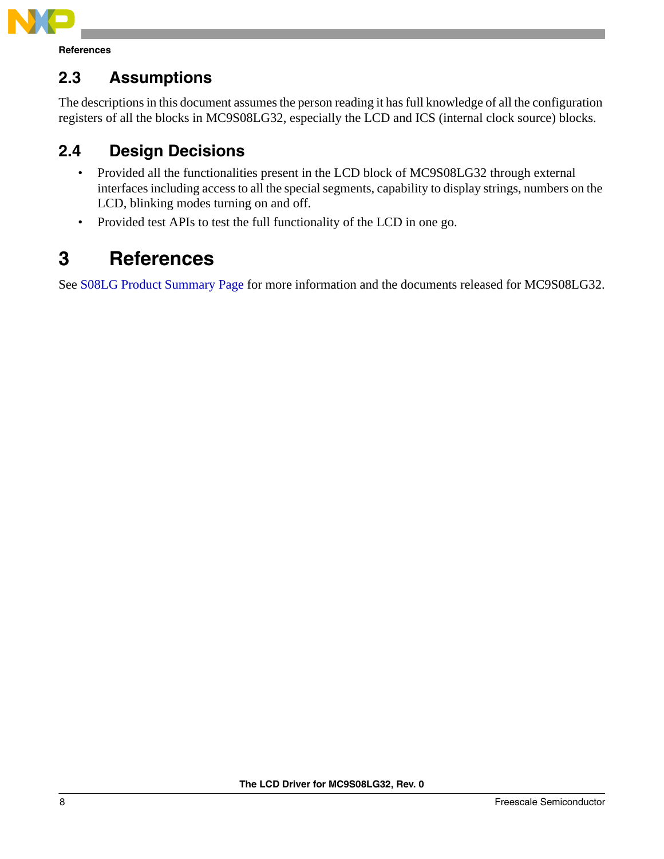

**References**

## <span id="page-7-0"></span>**2.3 Assumptions**

The descriptions in this document assumes the person reading it has full knowledge of all the configuration registers of all the blocks in MC9S08LG32, especially the LCD and ICS (internal clock source) blocks.

## <span id="page-7-1"></span>**2.4 Design Decisions**

- Provided all the functionalities present in the LCD block of MC9S08LG32 through external interfaces including access to all the special segments, capability to display strings, numbers on the LCD, blinking modes turning on and off.
- Provided test APIs to test the full functionality of the LCD in one go.

## <span id="page-7-2"></span>**3 References**

See [S08LG Product Summary Page](http://www.freescale.com/webapp/sps/site/prod_summary.jsp?code=S08LG&fsrch=1) for more information and the documents released for MC9S08LG32.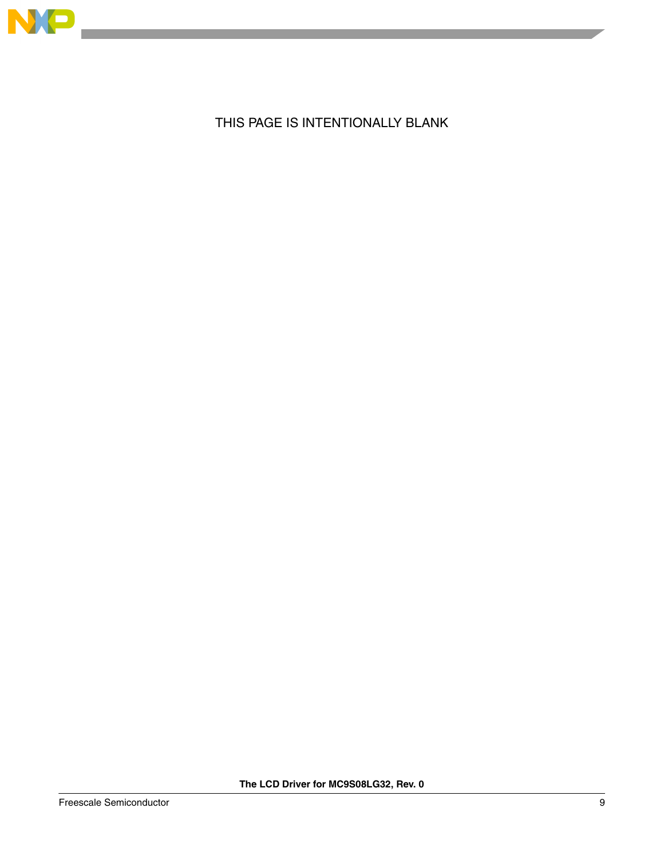

THIS PAGE IS INTENTIONALLY BLANK